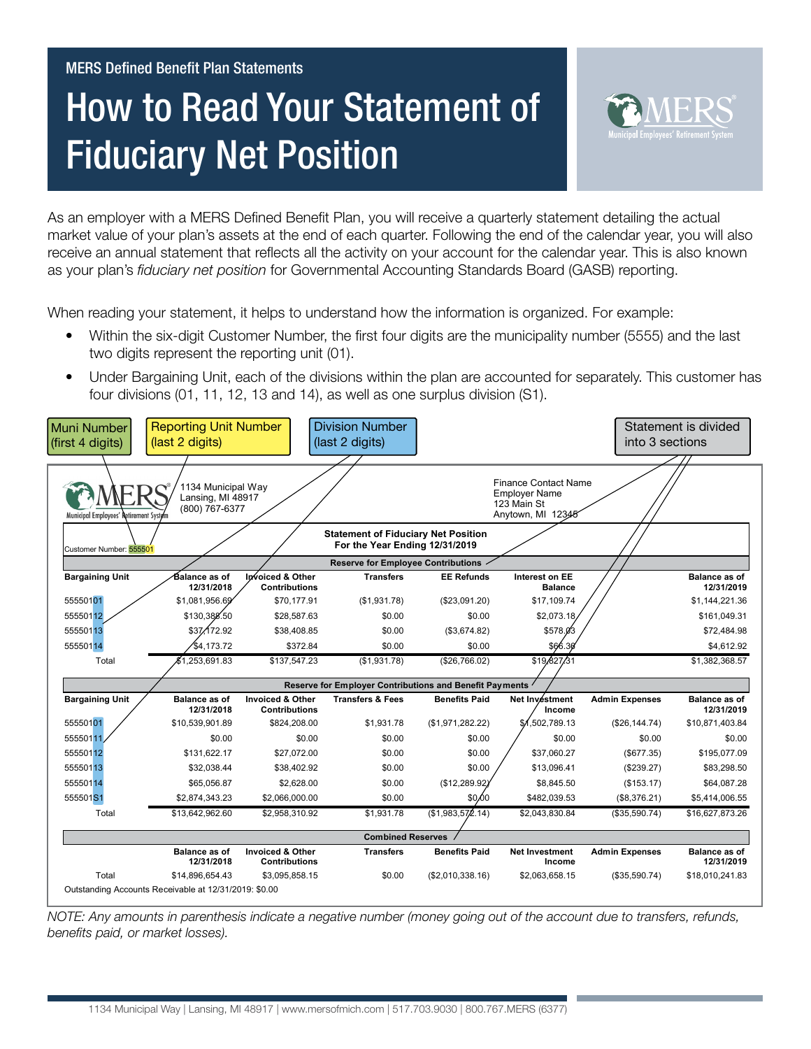# How to Read Your Statement of **Fiduciary Net Position**



As an employer with a MERS Defined Benefit Plan, you will receive a quarterly statement detailing the actual market value of your plan's assets at the end of each quarter. Following the end of the calendar year, you will also receive an annual statement that reflects all the activity on your account for the calendar year. This is also known as your plan's *fiduciary net position* for Governmental Accounting Standards Board (GASB) reporting.

When reading your statement, it helps to understand how the information is organized. For example:

- Within the six-digit Customer Number, the first four digits are the municipality number (5555) and the last two digits represent the reporting unit (01).
- Under Bargaining Unit, each of the divisions within the plan are accounted for separately. This customer has four divisions (01, 11, 12, 13 and 14), as well as one surplus division (S1).

| Muni Number<br>(first 4 digits)                                                                         | <b>Reporting Unit Number</b><br>(last 2 digits)           |                                                     | <b>Division Number</b><br>(last 2 digits) |                      |                                                                                         | into 3 sections       | Statement is divided               |  |
|---------------------------------------------------------------------------------------------------------|-----------------------------------------------------------|-----------------------------------------------------|-------------------------------------------|----------------------|-----------------------------------------------------------------------------------------|-----------------------|------------------------------------|--|
| Municipal Employees' Retirement System                                                                  | 1134 Municipal Way<br>Lansing, MI 48917<br>(800) 767-6377 |                                                     |                                           |                      | <b>Finance Contact Name</b><br><b>Employer Name</b><br>123 Main St<br>Anytown, MI 12345 |                       |                                    |  |
| <b>Statement of Fiduciary Net Position</b><br>For the Year Ending 12/31/2019<br>Customer Number: 555501 |                                                           |                                                     |                                           |                      |                                                                                         |                       |                                    |  |
| <b>Reserve for Employee Contributions</b>                                                               |                                                           |                                                     |                                           |                      |                                                                                         |                       |                                    |  |
| <b>Bargaining Unit</b>                                                                                  | Balance as of<br>12/31/2018                               | Invoiced & Other<br><b>Contributions</b>            | <b>Transfers</b>                          | <b>EE Refunds</b>    | <b>Interest on EE</b><br><b>Balance</b>                                                 |                       | <b>Balance as of</b><br>12/31/2019 |  |
| 55550101                                                                                                | \$1.081.956.69                                            | \$70.177.91                                         | (\$1,931.78)                              | (\$23,091.20)        | \$17.109.74                                                                             |                       | \$1,144,221.36                     |  |
| 55550112                                                                                                | \$130,388.50                                              | \$28,587.63                                         | \$0.00                                    | \$0.00               | \$2,073.18                                                                              |                       | \$161,049.31                       |  |
| 55550113                                                                                                | \$37.172.92                                               | \$38,408.85                                         | \$0.00                                    | (\$3,674.82)         | \$578.03                                                                                |                       | \$72,484.98                        |  |
| 55550114                                                                                                | \$4,173.72                                                | \$372.84                                            | \$0.00                                    | \$0.00               | \$66.30                                                                                 |                       | \$4,612.92                         |  |
| Total                                                                                                   | \$1,253,691.83                                            | \$137,547.23                                        | (\$1,931.78)                              | (\$26,766.02)        | \$19,827,31                                                                             |                       | \$1,382,368.57                     |  |
| Reserve for Employer Contributions and Benefit Payments                                                 |                                                           |                                                     |                                           |                      |                                                                                         |                       |                                    |  |
| <b>Bargaining Unit</b>                                                                                  | <b>Balance as of</b><br>12/31/2018                        | <b>Invoiced &amp; Other</b><br><b>Contributions</b> | <b>Transfers &amp; Fees</b>               | <b>Benefits Paid</b> | Net Invéstment<br>Income                                                                | <b>Admin Expenses</b> | <b>Balance as of</b><br>12/31/2019 |  |
| 55550101                                                                                                | \$10,539,901.89                                           | \$824,208.00                                        | \$1,931.78                                | (\$1,971,282.22)     | 502,789.13                                                                              | (\$26,144.74)         | \$10,871,403.84                    |  |
| 55550111                                                                                                | \$0.00                                                    | \$0.00                                              | \$0.00                                    | \$0.00               | \$0.00                                                                                  | \$0.00                | \$0.00                             |  |
| 55550112                                                                                                | \$131.622.17                                              | \$27,072.00                                         | \$0.00                                    | \$0.00               | \$37.060.27                                                                             | (\$677.35)            | \$195,077.09                       |  |
| 55550113                                                                                                | \$32,038.44                                               | \$38,402.92                                         | \$0.00                                    | \$0.00               | \$13,096.41                                                                             | (\$239.27)            | \$83,298.50                        |  |
| 55550114                                                                                                | \$65,056.87                                               | \$2,628.00                                          | \$0.00                                    | (\$12,289.92)        | \$8.845.50                                                                              | (\$153.17)            | \$64,087.28                        |  |
| 555501S1                                                                                                | \$2,874,343.23                                            | \$2.066.000.00                                      | \$0.00                                    | \$0,00               | \$482.039.53                                                                            | (\$8,376.21)          | \$5,414,006.55                     |  |
| Total                                                                                                   | \$13,642,962.60                                           | \$2,958,310.92                                      | \$1,931.78                                | (\$1,983,572.14)     | \$2,043,830.84                                                                          | (\$35,590.74)         | \$16,627,873.26                    |  |
|                                                                                                         |                                                           |                                                     | <b>Combined Reserves</b>                  |                      |                                                                                         |                       |                                    |  |
|                                                                                                         | <b>Balance as of</b><br>12/31/2018                        | <b>Invoiced &amp; Other</b><br><b>Contributions</b> | <b>Transfers</b>                          | <b>Benefits Paid</b> | <b>Net Investment</b><br>Income                                                         | <b>Admin Expenses</b> | <b>Balance as of</b><br>12/31/2019 |  |
| Total                                                                                                   | \$14,896,654.43                                           | \$3,095,858.15                                      | \$0.00                                    | (\$2,010,338.16)     | \$2,063,658.15                                                                          | (\$35,590.74)         | \$18,010,241.83                    |  |
|                                                                                                         | Outstanding Accounts Receivable at 12/31/2019: \$0.00     |                                                     |                                           |                      |                                                                                         |                       |                                    |  |

*NOTE: Any amounts in parenthesis indicate a negative number (money going out of the account due to transfers, refunds, benefits paid, or market losses).*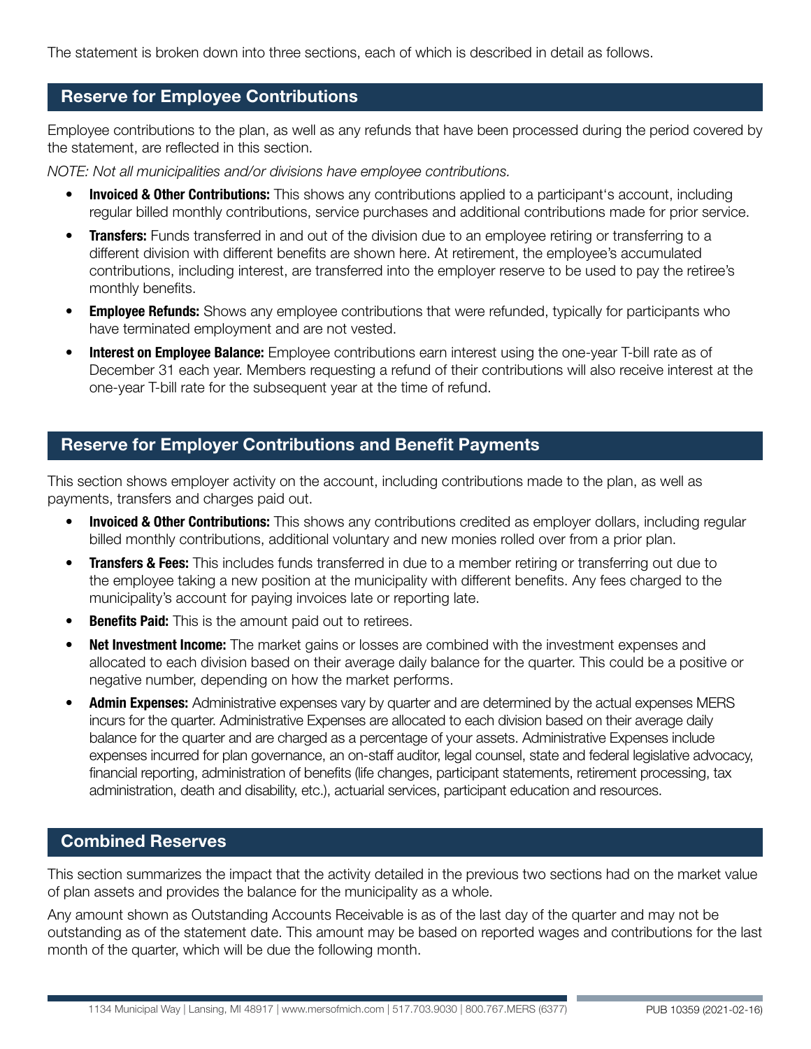The statement is broken down into three sections, each of which is described in detail as follows.

#### Reserve for Employee Contributions

Employee contributions to the plan, as well as any refunds that have been processed during the period covered by the statement, are reflected in this section.

*NOTE: Not all municipalities and/or divisions have employee contributions.*

- **Invoiced & Other Contributions:** This shows any contributions applied to a participant's account, including regular billed monthly contributions, service purchases and additional contributions made for prior service.
- Transfers: Funds transferred in and out of the division due to an employee retiring or transferring to a different division with different benefits are shown here. At retirement, the employee's accumulated contributions, including interest, are transferred into the employer reserve to be used to pay the retiree's monthly benefits.
- **Employee Refunds:** Shows any employee contributions that were refunded, typically for participants who have terminated employment and are not vested.
- **Interest on Employee Balance:** Employee contributions earn interest using the one-year T-bill rate as of December 31 each year. Members requesting a refund of their contributions will also receive interest at the one-year T-bill rate for the subsequent year at the time of refund.

#### Reserve for Employer Contributions and Benefit Payments

This section shows employer activity on the account, including contributions made to the plan, as well as payments, transfers and charges paid out.

- **Invoiced & Other Contributions:** This shows any contributions credited as employer dollars, including regular billed monthly contributions, additional voluntary and new monies rolled over from a prior plan.
- **Transfers & Fees:** This includes funds transferred in due to a member retiring or transferring out due to the employee taking a new position at the municipality with different benefits. Any fees charged to the municipality's account for paying invoices late or reporting late.
- **Benefits Paid:** This is the amount paid out to retirees.
- **Net Investment Income:** The market gains or losses are combined with the investment expenses and allocated to each division based on their average daily balance for the quarter. This could be a positive or negative number, depending on how the market performs.
- Admin Expenses: Administrative expenses vary by quarter and are determined by the actual expenses MERS incurs for the quarter. Administrative Expenses are allocated to each division based on their average daily balance for the quarter and are charged as a percentage of your assets. Administrative Expenses include expenses incurred for plan governance, an on-staff auditor, legal counsel, state and federal legislative advocacy, financial reporting, administration of benefits (life changes, participant statements, retirement processing, tax administration, death and disability, etc.), actuarial services, participant education and resources.

### Combined Reserves

This section summarizes the impact that the activity detailed in the previous two sections had on the market value of plan assets and provides the balance for the municipality as a whole.

Any amount shown as Outstanding Accounts Receivable is as of the last day of the quarter and may not be outstanding as of the statement date. This amount may be based on reported wages and contributions for the last month of the quarter, which will be due the following month.